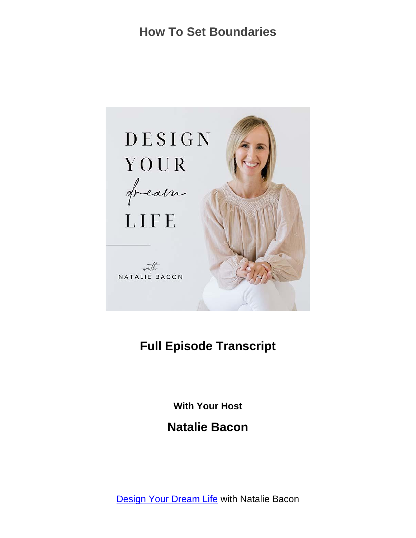

#### **Full Episode Transcript**

**With Your Host**

**Natalie Bacon**

[Design Your Dream Life](https://nataliebacon.com/category/podcast/) with Natalie Bacon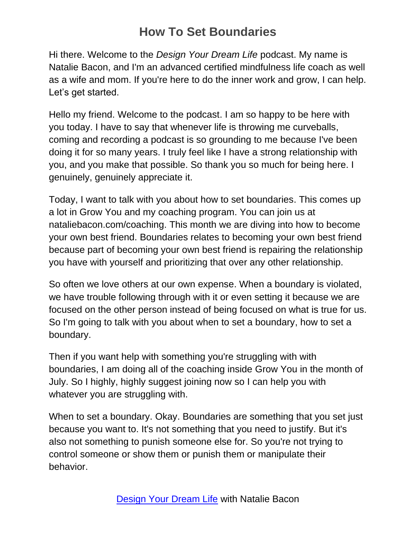Hi there. Welcome to the *Design Your Dream Life* podcast. My name is Natalie Bacon, and I'm an advanced certified mindfulness life coach as well as a wife and mom. If you're here to do the inner work and grow, I can help. Let's get started.

Hello my friend. Welcome to the podcast. I am so happy to be here with you today. I have to say that whenever life is throwing me curveballs, coming and recording a podcast is so grounding to me because I've been doing it for so many years. I truly feel like I have a strong relationship with you, and you make that possible. So thank you so much for being here. I genuinely, genuinely appreciate it.

Today, I want to talk with you about how to set boundaries. This comes up a lot in Grow You and my coaching program. You can join us at nataliebacon.com/coaching. This month we are diving into how to become your own best friend. Boundaries relates to becoming your own best friend because part of becoming your own best friend is repairing the relationship you have with yourself and prioritizing that over any other relationship.

So often we love others at our own expense. When a boundary is violated, we have trouble following through with it or even setting it because we are focused on the other person instead of being focused on what is true for us. So I'm going to talk with you about when to set a boundary, how to set a boundary.

Then if you want help with something you're struggling with with boundaries, I am doing all of the coaching inside Grow You in the month of July. So I highly, highly suggest joining now so I can help you with whatever you are struggling with.

When to set a boundary. Okay. Boundaries are something that you set just because you want to. It's not something that you need to justify. But it's also not something to punish someone else for. So you're not trying to control someone or show them or punish them or manipulate their behavior.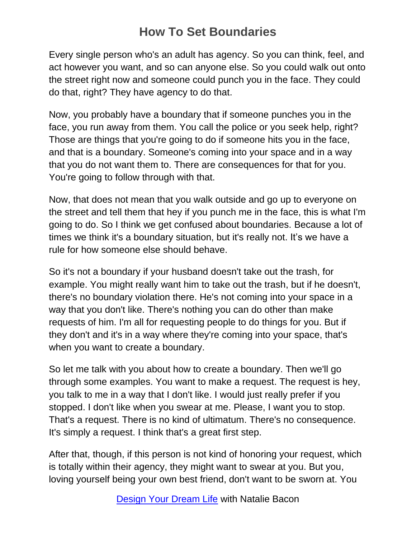Every single person who's an adult has agency. So you can think, feel, and act however you want, and so can anyone else. So you could walk out onto the street right now and someone could punch you in the face. They could do that, right? They have agency to do that.

Now, you probably have a boundary that if someone punches you in the face, you run away from them. You call the police or you seek help, right? Those are things that you're going to do if someone hits you in the face, and that is a boundary. Someone's coming into your space and in a way that you do not want them to. There are consequences for that for you. You're going to follow through with that.

Now, that does not mean that you walk outside and go up to everyone on the street and tell them that hey if you punch me in the face, this is what I'm going to do. So I think we get confused about boundaries. Because a lot of times we think it's a boundary situation, but it's really not. It's we have a rule for how someone else should behave.

So it's not a boundary if your husband doesn't take out the trash, for example. You might really want him to take out the trash, but if he doesn't, there's no boundary violation there. He's not coming into your space in a way that you don't like. There's nothing you can do other than make requests of him. I'm all for requesting people to do things for you. But if they don't and it's in a way where they're coming into your space, that's when you want to create a boundary.

So let me talk with you about how to create a boundary. Then we'll go through some examples. You want to make a request. The request is hey, you talk to me in a way that I don't like. I would just really prefer if you stopped. I don't like when you swear at me. Please, I want you to stop. That's a request. There is no kind of ultimatum. There's no consequence. It's simply a request. I think that's a great first step.

After that, though, if this person is not kind of honoring your request, which is totally within their agency, they might want to swear at you. But you, loving yourself being your own best friend, don't want to be sworn at. You

[Design Your Dream Life](https://nataliebacon.com/category/podcast/) with Natalie Bacon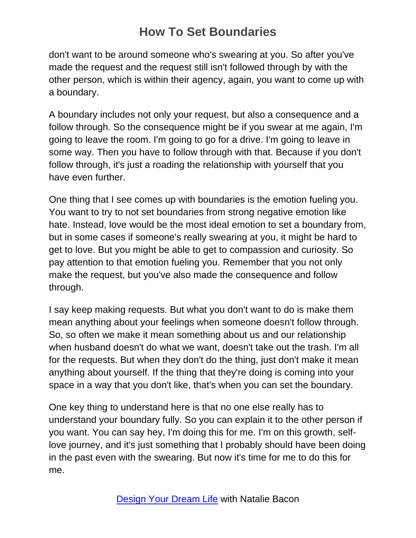don't want to be around someone who's swearing at you. So after you've made the request and the request still isn't followed through by with the other person, which is within their agency, again, you want to come up with a boundary.

A boundary includes not only your request, but also a consequence and a follow through. So the consequence might be if you swear at me again, I'm going to leave the room. I'm going to go for a drive. I'm going to leave in some way. Then you have to follow through with that. Because if you don't follow through, it's just a roading the relationship with yourself that you have even further.

One thing that I see comes up with boundaries is the emotion fueling you. You want to try to not set boundaries from strong negative emotion like hate. Instead, love would be the most ideal emotion to set a boundary from, but in some cases if someone's really swearing at you, it might be hard to get to love. But you might be able to get to compassion and curiosity. So pay attention to that emotion fueling you. Remember that you not only make the request, but you've also made the consequence and follow through.

I say keep making requests. But what you don't want to do is make them mean anything about your feelings when someone doesn't follow through. So, so often we make it mean something about us and our relationship when husband doesn't do what we want, doesn't take out the trash. I'm all for the requests. But when they don't do the thing, just don't make it mean anything about yourself. If the thing that they're doing is coming into your space in a way that you don't like, that's when you can set the boundary.

One key thing to understand here is that no one else really has to understand your boundary fully. So you can explain it to the other person if you want. You can say hey, I'm doing this for me. I'm on this growth, selflove journey, and it's just something that I probably should have been doing in the past even with the swearing. But now it's time for me to do this for me.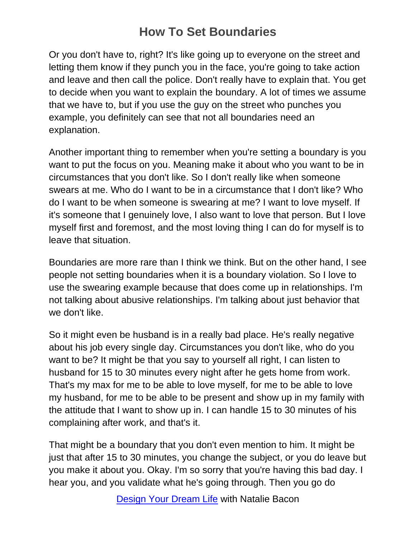Or you don't have to, right? It's like going up to everyone on the street and letting them know if they punch you in the face, you're going to take action and leave and then call the police. Don't really have to explain that. You get to decide when you want to explain the boundary. A lot of times we assume that we have to, but if you use the guy on the street who punches you example, you definitely can see that not all boundaries need an explanation.

Another important thing to remember when you're setting a boundary is you want to put the focus on you. Meaning make it about who you want to be in circumstances that you don't like. So I don't really like when someone swears at me. Who do I want to be in a circumstance that I don't like? Who do I want to be when someone is swearing at me? I want to love myself. If it's someone that I genuinely love, I also want to love that person. But I love myself first and foremost, and the most loving thing I can do for myself is to leave that situation.

Boundaries are more rare than I think we think. But on the other hand, I see people not setting boundaries when it is a boundary violation. So I love to use the swearing example because that does come up in relationships. I'm not talking about abusive relationships. I'm talking about just behavior that we don't like.

So it might even be husband is in a really bad place. He's really negative about his job every single day. Circumstances you don't like, who do you want to be? It might be that you say to yourself all right, I can listen to husband for 15 to 30 minutes every night after he gets home from work. That's my max for me to be able to love myself, for me to be able to love my husband, for me to be able to be present and show up in my family with the attitude that I want to show up in. I can handle 15 to 30 minutes of his complaining after work, and that's it.

That might be a boundary that you don't even mention to him. It might be just that after 15 to 30 minutes, you change the subject, or you do leave but you make it about you. Okay. I'm so sorry that you're having this bad day. I hear you, and you validate what he's going through. Then you go do

[Design Your Dream Life](https://nataliebacon.com/category/podcast/) with Natalie Bacon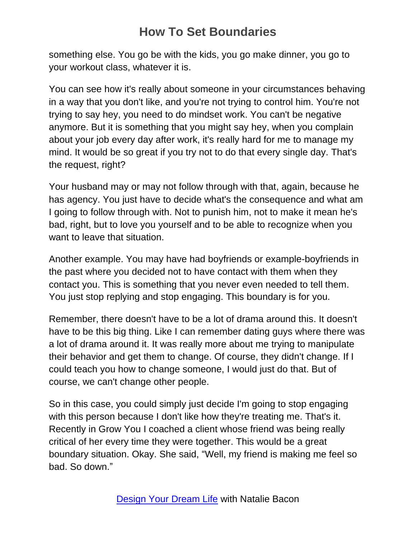something else. You go be with the kids, you go make dinner, you go to your workout class, whatever it is.

You can see how it's really about someone in your circumstances behaving in a way that you don't like, and you're not trying to control him. You're not trying to say hey, you need to do mindset work. You can't be negative anymore. But it is something that you might say hey, when you complain about your job every day after work, it's really hard for me to manage my mind. It would be so great if you try not to do that every single day. That's the request, right?

Your husband may or may not follow through with that, again, because he has agency. You just have to decide what's the consequence and what am I going to follow through with. Not to punish him, not to make it mean he's bad, right, but to love you yourself and to be able to recognize when you want to leave that situation.

Another example. You may have had boyfriends or example-boyfriends in the past where you decided not to have contact with them when they contact you. This is something that you never even needed to tell them. You just stop replying and stop engaging. This boundary is for you.

Remember, there doesn't have to be a lot of drama around this. It doesn't have to be this big thing. Like I can remember dating guys where there was a lot of drama around it. It was really more about me trying to manipulate their behavior and get them to change. Of course, they didn't change. If I could teach you how to change someone, I would just do that. But of course, we can't change other people.

So in this case, you could simply just decide I'm going to stop engaging with this person because I don't like how they're treating me. That's it. Recently in Grow You I coached a client whose friend was being really critical of her every time they were together. This would be a great boundary situation. Okay. She said, "Well, my friend is making me feel so bad. So down."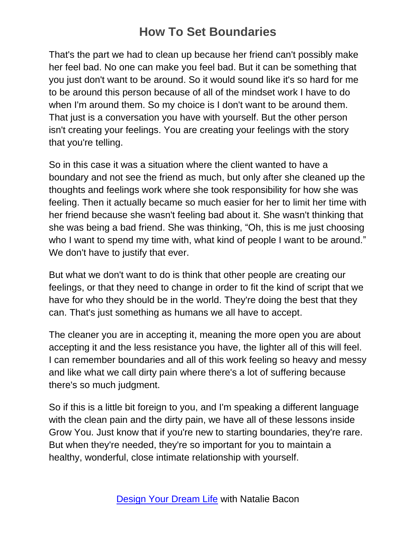That's the part we had to clean up because her friend can't possibly make her feel bad. No one can make you feel bad. But it can be something that you just don't want to be around. So it would sound like it's so hard for me to be around this person because of all of the mindset work I have to do when I'm around them. So my choice is I don't want to be around them. That just is a conversation you have with yourself. But the other person isn't creating your feelings. You are creating your feelings with the story that you're telling.

So in this case it was a situation where the client wanted to have a boundary and not see the friend as much, but only after she cleaned up the thoughts and feelings work where she took responsibility for how she was feeling. Then it actually became so much easier for her to limit her time with her friend because she wasn't feeling bad about it. She wasn't thinking that she was being a bad friend. She was thinking, "Oh, this is me just choosing who I want to spend my time with, what kind of people I want to be around." We don't have to justify that ever.

But what we don't want to do is think that other people are creating our feelings, or that they need to change in order to fit the kind of script that we have for who they should be in the world. They're doing the best that they can. That's just something as humans we all have to accept.

The cleaner you are in accepting it, meaning the more open you are about accepting it and the less resistance you have, the lighter all of this will feel. I can remember boundaries and all of this work feeling so heavy and messy and like what we call dirty pain where there's a lot of suffering because there's so much judgment.

So if this is a little bit foreign to you, and I'm speaking a different language with the clean pain and the dirty pain, we have all of these lessons inside Grow You. Just know that if you're new to starting boundaries, they're rare. But when they're needed, they're so important for you to maintain a healthy, wonderful, close intimate relationship with yourself.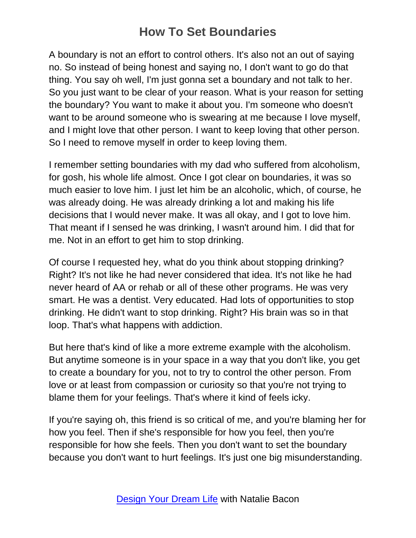A boundary is not an effort to control others. It's also not an out of saying no. So instead of being honest and saying no, I don't want to go do that thing. You say oh well, I'm just gonna set a boundary and not talk to her. So you just want to be clear of your reason. What is your reason for setting the boundary? You want to make it about you. I'm someone who doesn't want to be around someone who is swearing at me because I love myself, and I might love that other person. I want to keep loving that other person. So I need to remove myself in order to keep loving them.

I remember setting boundaries with my dad who suffered from alcoholism, for gosh, his whole life almost. Once I got clear on boundaries, it was so much easier to love him. I just let him be an alcoholic, which, of course, he was already doing. He was already drinking a lot and making his life decisions that I would never make. It was all okay, and I got to love him. That meant if I sensed he was drinking, I wasn't around him. I did that for me. Not in an effort to get him to stop drinking.

Of course I requested hey, what do you think about stopping drinking? Right? It's not like he had never considered that idea. It's not like he had never heard of AA or rehab or all of these other programs. He was very smart. He was a dentist. Very educated. Had lots of opportunities to stop drinking. He didn't want to stop drinking. Right? His brain was so in that loop. That's what happens with addiction.

But here that's kind of like a more extreme example with the alcoholism. But anytime someone is in your space in a way that you don't like, you get to create a boundary for you, not to try to control the other person. From love or at least from compassion or curiosity so that you're not trying to blame them for your feelings. That's where it kind of feels icky.

If you're saying oh, this friend is so critical of me, and you're blaming her for how you feel. Then if she's responsible for how you feel, then you're responsible for how she feels. Then you don't want to set the boundary because you don't want to hurt feelings. It's just one big misunderstanding.